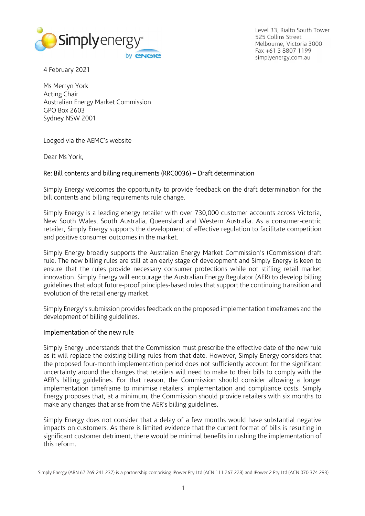

Level 33, Rialto South Tower 525 Collins Street Melbourne, Victoria 3000 Fax +61 3 8807 1199 simplyenergy.com.au

4 February 2021

Ms Merryn York Acting Chair Australian Energy Market Commission GPO Box 2603 Sydney NSW 2001

Lodged via the AEMC's website

Dear Ms York,

# Re: Bill contents and billing requirements (RRC0036) – Draft determination

Simply Energy welcomes the opportunity to provide feedback on the draft determination for the bill contents and billing requirements rule change.

Simply Energy is a leading energy retailer with over 730,000 customer accounts across Victoria, New South Wales, South Australia, Queensland and Western Australia. As a consumer-centric retailer, Simply Energy supports the development of effective regulation to facilitate competition and positive consumer outcomes in the market.

Simply Energy broadly supports the Australian Energy Market Commission's (Commission) draft rule. The new billing rules are still at an early stage of development and Simply Energy is keen to ensure that the rules provide necessary consumer protections while not stifling retail market innovation. Simply Energy will encourage the Australian Energy Regulator (AER) to develop billing guidelines that adopt future-proof principles-based rules that support the continuing transition and evolution of the retail energy market.

Simply Energy's submission provides feedback on the proposed implementation timeframes and the development of billing guidelines.

### Implementation of the new rule

Simply Energy understands that the Commission must prescribe the effective date of the new rule as it will replace the existing billing rules from that date. However, Simply Energy considers that the proposed four-month implementation period does not sufficiently account for the significant uncertainty around the changes that retailers will need to make to their bills to comply with the AER's billing guidelines. For that reason, the Commission should consider allowing a longer implementation timeframe to minimise retailers' implementation and compliance costs. Simply Energy proposes that, at a minimum, the Commission should provide retailers with six months to make any changes that arise from the AER's billing guidelines.

Simply Energy does not consider that a delay of a few months would have substantial negative impacts on customers. As there is limited evidence that the current format of bills is resulting in significant customer detriment, there would be minimal benefits in rushing the implementation of this reform.

Simply Energy (ABN 67 269 241 237) is a partnership comprising IPower Pty Ltd (ACN 111 267 228) and IPower 2 Pty Ltd (ACN 070 374 293)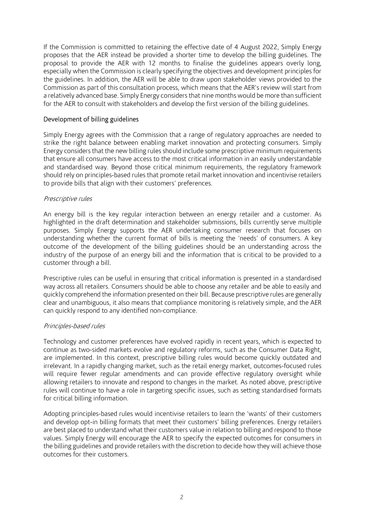If the Commission is committed to retaining the effective date of 4 August 2022, Simply Energy proposes that the AER instead be provided a shorter time to develop the billing guidelines. The proposal to provide the AER with 12 months to finalise the guidelines appears overly long, especially when the Commission is clearly specifying the objectives and development principles for the guidelines. In addition, the AER will be able to draw upon stakeholder views provided to the Commission as part of this consultation process, which means that the AER's review will start from a relatively advanced base. Simply Energy considers that nine months would be more than sufficient for the AER to consult with stakeholders and develop the first version of the billing guidelines.

# Development of billing guidelines

Simply Energy agrees with the Commission that a range of regulatory approaches are needed to strike the right balance between enabling market innovation and protecting consumers. Simply Energy considers that the new billing rules should include some prescriptive minimum requirements that ensure all consumers have access to the most critical information in an easily understandable and standardised way. Beyond those critical minimum requirements, the regulatory framework should rely on principles-based rules that promote retail market innovation and incentivise retailers to provide bills that align with their customers' preferences.

# Prescriptive rules

An energy bill is the key regular interaction between an energy retailer and a customer. As highlighted in the draft determination and stakeholder submissions, bills currently serve multiple purposes. Simply Energy supports the AER undertaking consumer research that focuses on understanding whether the current format of bills is meeting the 'needs' of consumers. A key outcome of the development of the billing guidelines should be an understanding across the industry of the purpose of an energy bill and the information that is critical to be provided to a customer through a bill.

Prescriptive rules can be useful in ensuring that critical information is presented in a standardised way across all retailers. Consumers should be able to choose any retailer and be able to easily and quickly comprehend the information presented on their bill. Because prescriptive rules are generally clear and unambiguous, it also means that compliance monitoring is relatively simple, and the AER can quickly respond to any identified non-compliance.

### Principles-based rules

Technology and customer preferences have evolved rapidly in recent years, which is expected to continue as two-sided markets evolve and regulatory reforms, such as the Consumer Data Right, are implemented. In this context, prescriptive billing rules would become quickly outdated and irrelevant. In a rapidly changing market, such as the retail energy market, outcomes-focused rules will require fewer regular amendments and can provide effective regulatory oversight while allowing retailers to innovate and respond to changes in the market. As noted above, prescriptive rules will continue to have a role in targeting specific issues, such as setting standardised formats for critical billing information.

Adopting principles-based rules would incentivise retailers to learn the 'wants' of their customers and develop opt-in billing formats that meet their customers' billing preferences. Energy retailers are best placed to understand what their customers value in relation to billing and respond to those values. Simply Energy will encourage the AER to specify the expected outcomes for consumers in the billing guidelines and provide retailers with the discretion to decide how they will achieve those outcomes for their customers.